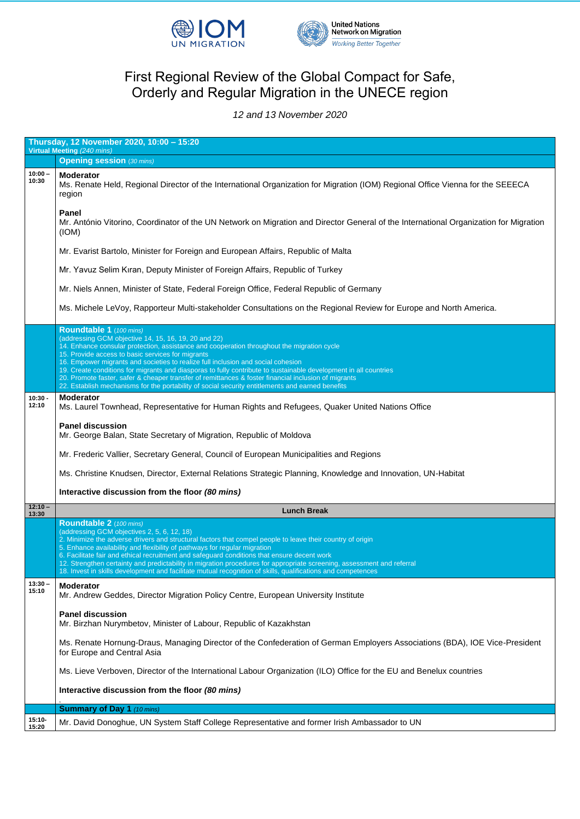



## First Regional Review of the Global Compact for Safe, Orderly and Regular Migration in the UNECE region

*12 and 13 November 2020*

|                    | Thursday, 12 November 2020, 10:00 - 15:20<br>Virtual Meeting (240 mins)                                                                                                                                                                                                                                                                                                                                                                                                                                                                                                                                                                                                                                                                                                                                                                                                                                                                                                    |  |
|--------------------|----------------------------------------------------------------------------------------------------------------------------------------------------------------------------------------------------------------------------------------------------------------------------------------------------------------------------------------------------------------------------------------------------------------------------------------------------------------------------------------------------------------------------------------------------------------------------------------------------------------------------------------------------------------------------------------------------------------------------------------------------------------------------------------------------------------------------------------------------------------------------------------------------------------------------------------------------------------------------|--|
|                    | <b>Opening session (30 mins)</b>                                                                                                                                                                                                                                                                                                                                                                                                                                                                                                                                                                                                                                                                                                                                                                                                                                                                                                                                           |  |
| $10:00 -$<br>10:30 | <b>Moderator</b><br>Ms. Renate Held, Regional Director of the International Organization for Migration (IOM) Regional Office Vienna for the SEEECA<br>region                                                                                                                                                                                                                                                                                                                                                                                                                                                                                                                                                                                                                                                                                                                                                                                                               |  |
|                    | <b>Panel</b><br>Mr. António Vitorino, Coordinator of the UN Network on Migration and Director General of the International Organization for Migration<br>(IOM)                                                                                                                                                                                                                                                                                                                                                                                                                                                                                                                                                                                                                                                                                                                                                                                                             |  |
|                    | Mr. Evarist Bartolo, Minister for Foreign and European Affairs, Republic of Malta                                                                                                                                                                                                                                                                                                                                                                                                                                                                                                                                                                                                                                                                                                                                                                                                                                                                                          |  |
|                    | Mr. Yavuz Selim Kıran, Deputy Minister of Foreign Affairs, Republic of Turkey                                                                                                                                                                                                                                                                                                                                                                                                                                                                                                                                                                                                                                                                                                                                                                                                                                                                                              |  |
|                    | Mr. Niels Annen, Minister of State, Federal Foreign Office, Federal Republic of Germany                                                                                                                                                                                                                                                                                                                                                                                                                                                                                                                                                                                                                                                                                                                                                                                                                                                                                    |  |
|                    | Ms. Michele LeVoy, Rapporteur Multi-stakeholder Consultations on the Regional Review for Europe and North America.                                                                                                                                                                                                                                                                                                                                                                                                                                                                                                                                                                                                                                                                                                                                                                                                                                                         |  |
| $10:30 -$<br>12:10 | Roundtable 1 (100 mins)<br>(addressing GCM objective 14, 15, 16, 19, 20 and 22)<br>14. Enhance consular protection, assistance and cooperation throughout the migration cycle<br>15. Provide access to basic services for migrants<br>16. Empower migrants and societies to realize full inclusion and social cohesion<br>19. Create conditions for migrants and diasporas to fully contribute to sustainable development in all countries<br>20. Promote faster, safer & cheaper transfer of remittances & foster financial inclusion of migrants<br>22. Establish mechanisms for the portability of social security entitlements and earned benefits<br><b>Moderator</b><br>Ms. Laurel Townhead, Representative for Human Rights and Refugees, Quaker United Nations Office<br><b>Panel discussion</b><br>Mr. George Balan, State Secretary of Migration, Republic of Moldova<br>Mr. Frederic Vallier, Secretary General, Council of European Municipalities and Regions |  |
|                    | Ms. Christine Knudsen, Director, External Relations Strategic Planning, Knowledge and Innovation, UN-Habitat                                                                                                                                                                                                                                                                                                                                                                                                                                                                                                                                                                                                                                                                                                                                                                                                                                                               |  |
|                    |                                                                                                                                                                                                                                                                                                                                                                                                                                                                                                                                                                                                                                                                                                                                                                                                                                                                                                                                                                            |  |
| $12:10 -$          | Interactive discussion from the floor (80 mins)                                                                                                                                                                                                                                                                                                                                                                                                                                                                                                                                                                                                                                                                                                                                                                                                                                                                                                                            |  |
| 13:30              | <b>Lunch Break</b>                                                                                                                                                                                                                                                                                                                                                                                                                                                                                                                                                                                                                                                                                                                                                                                                                                                                                                                                                         |  |
|                    | Roundtable 2 (100 mins)<br>(addressing GCM objectives 2, 5, 6, 12, 18)<br>2. Minimize the adverse drivers and structural factors that compel people to leave their country of origin<br>5. Enhance availability and flexibility of pathways for regular migration<br>6. Facilitate fair and ethical recruitment and safeguard conditions that ensure decent work<br>12. Strengthen certainty and predictability in migration procedures for appropriate screening, assessment and referral<br>18. Invest in skills development and facilitate mutual recognition of skills, qualifications and competences                                                                                                                                                                                                                                                                                                                                                                 |  |
| $13:30 -$<br>15:10 | <b>Moderator</b><br>Mr. Andrew Geddes, Director Migration Policy Centre, European University Institute                                                                                                                                                                                                                                                                                                                                                                                                                                                                                                                                                                                                                                                                                                                                                                                                                                                                     |  |
|                    | <b>Panel discussion</b>                                                                                                                                                                                                                                                                                                                                                                                                                                                                                                                                                                                                                                                                                                                                                                                                                                                                                                                                                    |  |

|                    | Mr. Birzhan Nurymbetov, Minister of Labour, Republic of Kazakhstan                                                                                         |
|--------------------|------------------------------------------------------------------------------------------------------------------------------------------------------------|
|                    | Ms. Renate Hornung-Draus, Managing Director of the Confederation of German Employers Associations (BDA), IOE Vice-President<br>for Europe and Central Asia |
|                    | Ms. Lieve Verboven, Director of the International Labour Organization (ILO) Office for the EU and Benelux countries                                        |
|                    | Interactive discussion from the floor (80 mins)                                                                                                            |
|                    | <b>Summary of Day 1</b> (10 mins)                                                                                                                          |
| $15:10 -$<br>15:20 | Mr. David Donoghue, UN System Staff College Representative and former Irish Ambassador to UN                                                               |